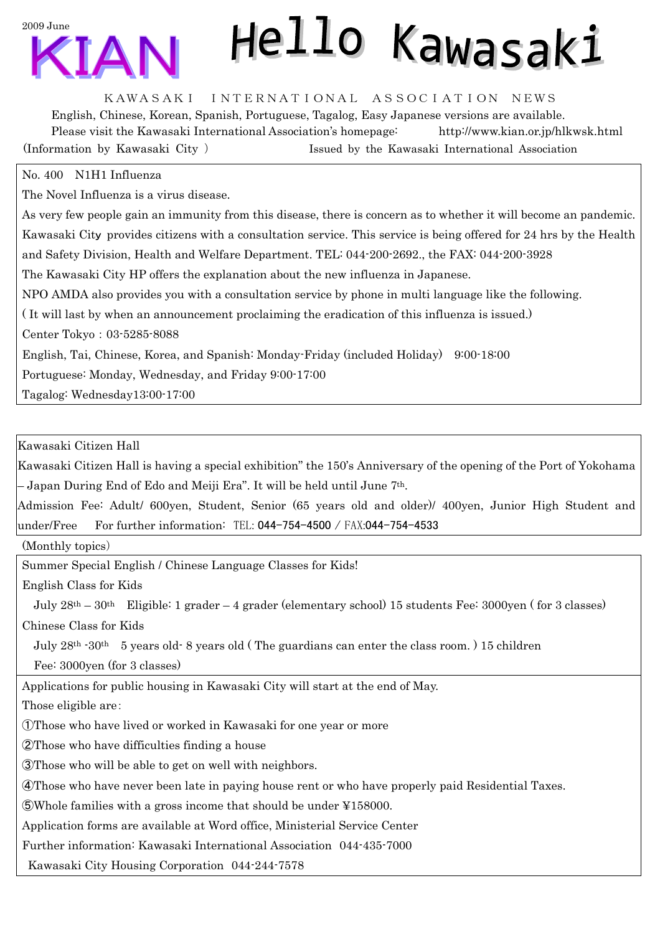2009 June

## Hello Kawasaki

## KAWASAKI INTERNATIONAL ASSOCIATION NEWS

English, Chinese, Korean, Spanish, Portuguese, Tagalog, Easy Japanese versions are available. Please visit the Kawasaki International Association's homepage: http://www.kian.or.jp/hlkwsk.html (Information by Kawasaki City ) Issued by the Kawasaki International Association

## No. 400 N1H1 Influenza

The Novel Influenza is a virus disease.

As very few people gain an immunity from this disease, there is concern as to whether it will become an pandemic. Kawasaki City provides citizens with a consultation service. This service is being offered for 24 hrs by the Health and Safety Division, Health and Welfare Department. TEL: 044-200-2692., the FAX: 044-200-3928 The Kawasaki City HP offers the explanation about the new influenza in Japanese. NPO AMDA also provides you with a consultation service by phone in multi language like the following. ( It will last by when an announcement proclaiming the eradication of this influenza is issued.) Center Tokyo:03-5285-8088 English, Tai, Chinese, Korea, and Spanish: Monday-Friday (included Holiday) 9:00-18:00 Portuguese: Monday, Wednesday, and Friday 9:00-17:00

Tagalog: Wednesday13:00-17:00

Kawasaki Citizen Hall

Kawasaki Citizen Hall is having a special exhibition" the 150's Anniversary of the opening of the Port of Yokohama – Japan During End of Edo and Meiji Era". It will be held until June 7th.

Admission Fee: Adult/ 600yen, Student, Senior (65 years old and older)/ 400yen, Junior High Student and under/Free For further information: TEL: 044-754-4500 / FAX:044-754-4533

(Monthly topics)

Summer Special English / Chinese Language Classes for Kids!

English Class for Kids

July 28th – 30th Eligible: 1 grader – 4 grader (elementary school) 15 students Fee: 3000yen ( for 3 classes) Chinese Class for Kids

July  $28<sup>th</sup>$  -30<sup>th</sup> 5 years old-8 years old (The guardians can enter the class room.) 15 children

Fee: 3000yen (for 3 classes)

Applications for public housing in Kawasaki City will start at the end of May.

Those eligible are:

①Those who have lived or worked in Kawasaki for one year or more

②Those who have difficulties finding a house

③Those who will be able to get on well with neighbors.

④Those who have never been late in paying house rent or who have properly paid Residential Taxes.

⑤Whole families with a gross income that should be under ¥158000.

Application forms are available at Word office, Ministerial Service Center

Further information: Kawasaki International Association 044-435-7000

Kawasaki City Housing Corporation 044-244-7578